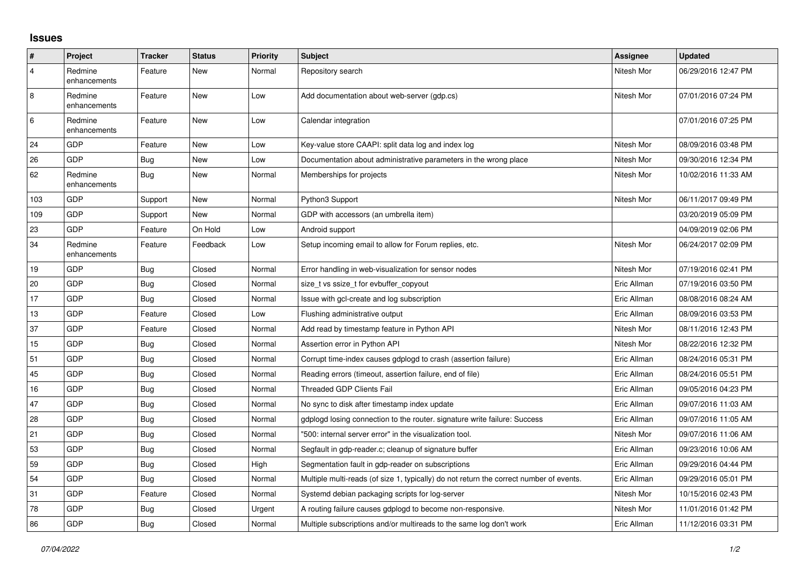## **Issues**

| $\vert$ #      | Project                 | <b>Tracker</b> | <b>Status</b> | Priority | <b>Subject</b>                                                                          | <b>Assignee</b> | <b>Updated</b>      |
|----------------|-------------------------|----------------|---------------|----------|-----------------------------------------------------------------------------------------|-----------------|---------------------|
| $\overline{4}$ | Redmine<br>enhancements | Feature        | New           | Normal   | Repository search                                                                       | Nitesh Mor      | 06/29/2016 12:47 PM |
| $\overline{8}$ | Redmine<br>enhancements | Feature        | New           | Low      | Add documentation about web-server (gdp.cs)                                             | Nitesh Mor      | 07/01/2016 07:24 PM |
| 6              | Redmine<br>enhancements | Feature        | New           | Low      | Calendar integration                                                                    |                 | 07/01/2016 07:25 PM |
| 24             | GDP                     | Feature        | New           | Low      | Key-value store CAAPI: split data log and index log                                     | Nitesh Mor      | 08/09/2016 03:48 PM |
| 26             | GDP                     | Bug            | New           | Low      | Documentation about administrative parameters in the wrong place                        | Nitesh Mor      | 09/30/2016 12:34 PM |
| 62             | Redmine<br>enhancements | <b>Bug</b>     | New           | Normal   | Memberships for projects                                                                | Nitesh Mor      | 10/02/2016 11:33 AM |
| 103            | GDP                     | Support        | New           | Normal   | Python3 Support                                                                         | Nitesh Mor      | 06/11/2017 09:49 PM |
| 109            | GDP                     | Support        | New           | Normal   | GDP with accessors (an umbrella item)                                                   |                 | 03/20/2019 05:09 PM |
| 23             | GDP                     | Feature        | On Hold       | Low      | Android support                                                                         |                 | 04/09/2019 02:06 PM |
| 34             | Redmine<br>enhancements | Feature        | Feedback      | Low      | Setup incoming email to allow for Forum replies, etc.                                   | Nitesh Mor      | 06/24/2017 02:09 PM |
| 19             | GDP                     | <b>Bug</b>     | Closed        | Normal   | Error handling in web-visualization for sensor nodes                                    | Nitesh Mor      | 07/19/2016 02:41 PM |
| 20             | GDP                     | Bug            | Closed        | Normal   | size_t vs ssize_t for evbuffer_copyout                                                  | Eric Allman     | 07/19/2016 03:50 PM |
| 17             | GDP                     | Bug            | Closed        | Normal   | Issue with gcl-create and log subscription                                              | Eric Allman     | 08/08/2016 08:24 AM |
| 13             | GDP                     | Feature        | Closed        | Low      | Flushing administrative output                                                          | Eric Allman     | 08/09/2016 03:53 PM |
| 37             | GDP                     | Feature        | Closed        | Normal   | Add read by timestamp feature in Python API                                             | Nitesh Mor      | 08/11/2016 12:43 PM |
| 15             | GDP                     | Bug            | Closed        | Normal   | Assertion error in Python API                                                           | Nitesh Mor      | 08/22/2016 12:32 PM |
| 51             | GDP                     | Bug            | Closed        | Normal   | Corrupt time-index causes gdplogd to crash (assertion failure)                          | Eric Allman     | 08/24/2016 05:31 PM |
| 45             | GDP                     | Bug            | Closed        | Normal   | Reading errors (timeout, assertion failure, end of file)                                | Eric Allman     | 08/24/2016 05:51 PM |
| 16             | GDP                     | Bug            | Closed        | Normal   | Threaded GDP Clients Fail                                                               | Eric Allman     | 09/05/2016 04:23 PM |
| 47             | GDP                     | <b>Bug</b>     | Closed        | Normal   | No sync to disk after timestamp index update                                            | Eric Allman     | 09/07/2016 11:03 AM |
| 28             | GDP                     | Bug            | Closed        | Normal   | gdplogd losing connection to the router, signature write failure: Success               | Eric Allman     | 09/07/2016 11:05 AM |
| 21             | GDP                     | Bug            | Closed        | Normal   | '500: internal server error" in the visualization tool.                                 | Nitesh Mor      | 09/07/2016 11:06 AM |
| 53             | GDP                     | Bug            | Closed        | Normal   | Segfault in gdp-reader.c; cleanup of signature buffer                                   | Eric Allman     | 09/23/2016 10:06 AM |
| 59             | GDP                     | Bug            | Closed        | High     | Segmentation fault in gdp-reader on subscriptions                                       | Eric Allman     | 09/29/2016 04:44 PM |
| 54             | GDP                     | Bug            | Closed        | Normal   | Multiple multi-reads (of size 1, typically) do not return the correct number of events. | Eric Allman     | 09/29/2016 05:01 PM |
| 31             | GDP                     | Feature        | Closed        | Normal   | Systemd debian packaging scripts for log-server                                         | Nitesh Mor      | 10/15/2016 02:43 PM |
| 78             | GDP                     | Bug            | Closed        | Urgent   | A routing failure causes gdplogd to become non-responsive.                              | Nitesh Mor      | 11/01/2016 01:42 PM |
| 86             | GDP                     | Bug            | Closed        | Normal   | Multiple subscriptions and/or multireads to the same log don't work                     | Eric Allman     | 11/12/2016 03:31 PM |